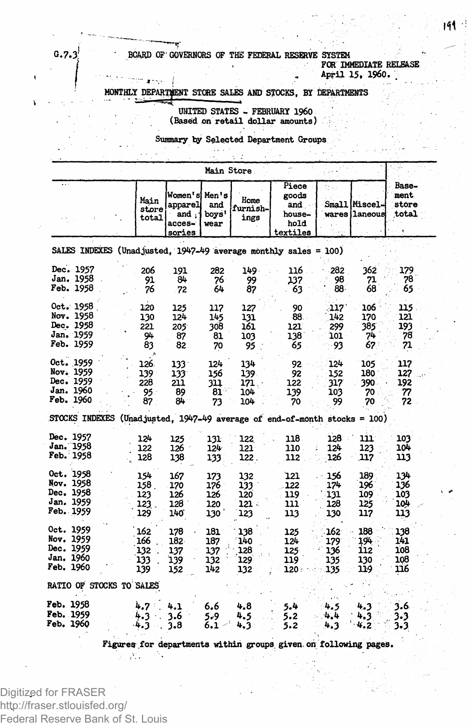## **G.7.3; • BOARD OP' GOVERNORS OF THE FEDERAL RESERVE SYSTEM | , FOR IMMEDIATE RELEASE ( | - April 15. I960. .**

**MONTHLY DEPARTMENT STORE SALES AND STOCKS, BY DEPARTMENTS**

**UNITED STATES - FEBRUARY I960 (Based on retail dollar amounts)**

**Summary by Selected Department Groups**

|                                                               |  |                                  |                                                      |                                 | Main Store                        |                                                                                                    |                                           |                                  |                                 |
|---------------------------------------------------------------|--|----------------------------------|------------------------------------------------------|---------------------------------|-----------------------------------|----------------------------------------------------------------------------------------------------|-------------------------------------------|----------------------------------|---------------------------------|
|                                                               |  | Main<br>store<br>total           | Women's Men's<br>apparel<br>and,<br>acces-<br>sories | and<br>boys'<br>wear            | Home<br>furnish-<br>ings          | Piece<br>goods<br>and .<br>house-<br>hold<br>textiles                                              |                                           | Small Miscel-<br>wares i laneous | Base-<br>ment<br>store<br>total |
|                                                               |  |                                  |                                                      |                                 |                                   | SALES INDEXES (Unadjusted, 1947-49 average monthly sales = 100)                                    |                                           |                                  |                                 |
| Dec. 1957<br>Jan. 1958<br>Feb. 1958                           |  | 206<br>91<br>76                  | 191<br>84<br>.72                                     | 282<br>76<br>64                 | 149.<br>99<br>87                  | 116<br>137<br>63                                                                                   | 282<br>98<br>88.                          | 362<br>71<br>68                  | 179<br>78<br>65                 |
| Oct. 1958<br>Nov. 1958<br>Dec. 1958<br>Jan. 1959<br>Feb. 1959 |  | 120<br>130<br>221<br>94<br>83    | 125<br>124<br>205<br>87<br>82                        | 117<br>145<br>308<br>81<br>70   | 127<br>131<br>161<br>103<br>95    | 90<br>88.<br>121<br>138<br>65                                                                      | 117'<br>142<br>299<br>101<br>93           | 106<br>170<br>385<br>74<br>67    | 115<br>121<br>193<br>78<br>71   |
| Oct. 1959<br>Nov. 1959<br>Dec. 1959<br>Jan. 1960<br>Feb. 1960 |  | 126.<br>139<br>228<br>95.<br>87. | $133 -$<br>133<br>211<br>89<br>84                    | 124<br>156<br>311<br>81<br>73   | 134<br>139.<br>171.<br>104<br>104 | 92<br>92<br>122<br>139<br>70                                                                       | 124<br>152<br>317<br>103<br>99            | 105<br>180<br>390<br>70<br>70    | 117<br>127<br>192<br>77<br>72   |
| Dec. 1957<br>Jan. 1958<br>Feb. 1958                           |  | 124<br>122<br>128                | 125<br>126<br>138                                    | 131<br>124<br>133               | 122<br>121<br>122.                | STOCKS INDEXES (Unadjusted, $1947-49$ average of end-of-month stocks = 100)<br>118.<br>110.<br>112 | 128<br>124<br>126                         | 111<br>123<br>117                | 103<br>104<br>113               |
| Oct. 1958<br>Nov. 1958<br>Dec. 1958<br>Jan. 1959<br>Feb. 1959 |  | 154<br>158.<br>123<br>123<br>129 | 167<br>170<br>126<br>128<br>140                      | 173<br>176<br>126<br>120<br>130 | 132<br>133<br>120<br>121 -<br>123 | 121<br>122<br>119<br>111.<br>113                                                                   | 156<br>174<br>131<br>128<br>130           | 189<br>196<br>109<br>125<br>117  | 134<br>136<br>103<br>104<br>113 |
| Oct. 1959<br>Nov. 1959<br>Dec. 1959<br>Jan. 1960<br>Feb. 1960 |  | 162<br>166<br>132<br>133<br>139  | 178<br>182<br>137<br>139<br>152                      | 181<br>187<br>137<br>132<br>142 | 138<br>140<br>128<br>129<br>132   | 125<br>124<br>$125 -$<br>119<br>120 :                                                              | $162^{\circ}$<br>179<br>136<br>135<br>135 | 188<br>194<br>112<br>130<br>119  | 138<br>141<br>108<br>108<br>116 |
| RATIO OF STOCKS TO SALES                                      |  |                                  |                                                      |                                 |                                   |                                                                                                    |                                           |                                  |                                 |
| <b>Feb. 1958</b><br>Feb. 1959<br><b>Feb. 1960</b>             |  | 4.7 :<br>4.3.<br>4.3             | 4.1<br>3.6<br>3.8                                    | 6.6<br>5.9<br>6.1               | 4,8<br>4.5<br>4.3                 | 5.4<br>5.2<br>5.2                                                                                  | 4.5<br>4.4<br>4.3                         | 4.3<br>4.3<br>4.2                | 3.6<br>3.3<br>3.3               |

**Figure? for departments within groups given on following pages.**

Digitized for FRASER http://fraser.stlouisfed.org/ Federal Reserve Bank of St. Louis

Ф.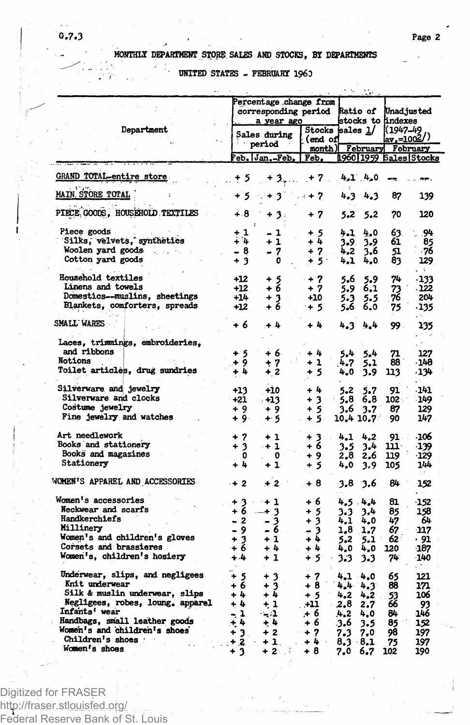## MONTHLY DEPARTMENT STORE SALES AND STOCKS. BY DEPARTMENTS

UNITED STATES - FEBRUARY 1960

|                                       |               | Percentage change from        |                          |             |           |                    |                        |
|---------------------------------------|---------------|-------------------------------|--------------------------|-------------|-----------|--------------------|------------------------|
|                                       |               | corresponding period Ratio of |                          |             |           |                    | Unadjusted             |
|                                       |               | a year ago                    |                          |             |           | stocks to findexes |                        |
| Department                            |               | Sales during                  | Stocks sales $1/$        |             |           | I(1947–49          |                        |
|                                       |               | period                        | (end of                  |             |           |                    | <u>  2002 ave</u>      |
|                                       |               |                               | month) February February |             |           |                    |                        |
|                                       |               | Feb. [Jan.-Feb.   Feb.        |                          |             |           |                    | 1960 1959 Sales Stocks |
| GRAND TOTAL-entire store              | $. + 5$       |                               | $+3,  + 7$ .             |             | $4.1 + 0$ |                    |                        |
| <b>MAIN STORE TOTAL</b>               | +5 -          | $+3$ $-1$ + 7                 |                          |             | 4.34.3    | 87                 | 139                    |
| PIECE GOODS, HOUSEHOLD TEXTILES       | 4.8           | $+3.$                         | + 7                      | 5.2         | 5.2       | 70                 | 120                    |
| Piece goods                           | + 1           |                               |                          |             |           |                    |                        |
| Silks, velvets, synthetics            | + 4           | - 1<br>$+1$                   | $+5$<br>$+4$             | 4.1         | 4.0       | 63.<br>61          | .94                    |
| Woolen yard goods                     |               |                               |                          | 3.9.        | 3.9       |                    | 85                     |
|                                       | - 8           | - 7                           | $+7$                     | 4.2         | 3.6       | 51                 | - 76                   |
| Cotton yard goods                     | $+3$          | 0                             | $+5$                     | 4.1         | 4,0       | 83                 | 129                    |
| Household textiles                    | +12           |                               | $+7$                     | 5.6         | 5.9       | 74                 | $-133$                 |
| Linens and towels                     | $+12$         | $^{+5}_{+6}$                  | $+7$                     | 5.9         | 6,1       | 73                 | . 122                  |
| Domestics--muslins, sheetings         | $+14$         | +3 -                          | $+10$                    | 5.3         | 5.5       | 76                 | 204                    |
| Blankets, comforters, spreads         | $+12$         | $+6$                          | $+5$                     | 5.6         | 6.0       | 75                 | -135                   |
| SMALL WARES                           | + 6           | $+4$                          | $+4$                     | 4.3         | 4.4       | 99.                | 135                    |
| Laces, trimmings, embroideries,       |               |                               |                          |             |           |                    |                        |
| and ribbons                           |               |                               |                          |             |           |                    |                        |
| Notions                               | $+5$          | + 6                           | $+4$                     | 5.4         | 5.4       | 71                 | 127                    |
|                                       | ,∔ 9          | $+7$                          | + 1                      | 4.7         | 5.1       | 88                 | -148                   |
| <b>Toilet articles, drug sundries</b> | $+4$          | $+2$                          | + 5                      | 4.0         | 3.9       | 113                | -134                   |
| Silverware and jewelry                |               |                               | $+1$                     |             |           |                    | -141                   |
| Silverware and clocks                 | $+13$         | +10                           |                          | 5,2         | 5.7       | 91                 |                        |
|                                       | $+21$         | . +13                         | $+3$                     | $-5.8$      | 6.8       | 102 .              | -149                   |
| Costume jewelry                       | $+9$          | +9                            | + 5                      | 3.6         | 3.7       | 87                 | 129                    |
| Fine jewelry and watches              | $+9.$         | $+5$                          | $+5.$                    | 10.410.7    |           | 90                 | 147                    |
| <b>Art needlework</b>                 | $+7$          | $+1$                          | $+3$                     | 4.1         | 4,2       | 91.                | -106                   |
| Books and stationery                  | $+3$          | $+1$                          | + 6                      | 3.5         | 3.4       | ш.                 | -139                   |
| Books and magazines                   | 0             | 0                             | $+9$                     | 2.8         | 2.6       | 119                | -129                   |
| Stationery                            | + 4           | $+1$                          |                          |             |           |                    |                        |
|                                       |               |                               | $+5$                     | 4.0         | 3.9       | 105                | 144                    |
| WOMEN'S APPAREL AND ACCESSORIES       | $+2$          | $+2$                          | + 8                      | 3.8         | 3.6       | 84                 | 152                    |
| Women's accessories                   |               | $+3 + 1$                      | + 6                      | 4.5 4.4     |           | 81                 | $-152$                 |
| Neckwear and scarfs                   | + 6           | + 3                           | $+5$                     | 3.3         | 3.4       | 85                 | 158                    |
| Handkerchiefs                         | - 2           |                               | $+3$                     | $4.1 + 0$   |           | 47                 | 64                     |
| Millinery                             | - 9           | $\frac{3}{6}$                 | - 3                      | 1,8         | 1.7       | 67                 | -117                   |
| Women's and children's gloves         |               | $+1$                          | $+4$                     | 5.2         | 5.1       | 62                 | - 91                   |
| Corsets and brassieres                | $\frac{1}{2}$ | $+4.$                         | $+4$                     |             | 4.0 4.0   | 120                | -187                   |
| Women's, children's hosiery           | $+4$          | $+1$                          | $+5 - 3.3$               |             | 3.3       | 74                 | -140                   |
|                                       |               |                               |                          |             |           |                    |                        |
| Underwear, slips, and negligees       | $+5$          | $+3$                          | + 7                      | $4.1 - 4.0$ |           | 65                 | 121                    |
| Knit underwear                        | + 6           | $+3$                          | + 8                      | $4.4 - 4.3$ |           | 88                 | 171                    |
| Silk & muslin underwear, slips        | $+4$          | $+4$                          | $+5$                     | 4.2         | 4.2       | 53<br>66           | 106                    |
| Negligees, robes, loung, apparel      | $+4$          | $+1$                          | $+11$                    | 2,8         | 2.7       |                    | 93                     |
| Infants' wear                         | - 1           | $-1$                          | $. + 6$                  | 4.2         | 4.0       | 84                 | -146                   |
| Handbags, small leather goods         | $+4$          | $+4$                          | + 6                      | .3.6        | 3.5       | 85                 | 152                    |
| Women's and children's shoes          | $+3$ .        | $+2$                          | $+7$                     | 7.3         | 7.0       | 98                 | 197                    |
| Children's shoes                      | $ + 2$        | $+1$ .                        | $+4$<br>$\bar{a}$        | 8.3.8.1     |           | 75                 | 197                    |
| Women's shoes                         | $+2$          | ∔ າ                           | ÷Я                       | 20          | -6.7      | 702                | ٦٥Λ                    |

Digitized for FRASER http://fraser.stlouisfed.org/<br>Federal Reserve Bank of St. Louis

## $0.7.3$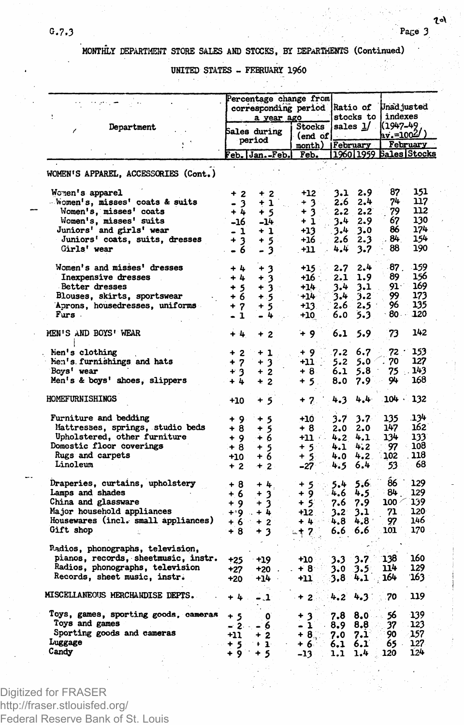**MONTHLY DEPARTMENT STORE SALES AND STOCKS, BY DEPARTMENTS (Continued)**

**UNITED STATES - FEBRUARY I960**

| ÷                                                                 |                        | Percentage change from<br>corresponding period<br>a year ago |                          |                                        | <b>Ratio of</b><br>stocks to |                                           | Unad justed<br>indexes |  |
|-------------------------------------------------------------------|------------------------|--------------------------------------------------------------|--------------------------|----------------------------------------|------------------------------|-------------------------------------------|------------------------|--|
| Department                                                        | Sales during<br>period |                                                              | <b>Stocks</b><br>(end of | sales <u>l</u> / .<br>month) [February |                              | 11947-49<br>av.=1004/)<br><b>February</b> |                        |  |
|                                                                   |                        |                                                              |                          |                                        |                              |                                           |                        |  |
|                                                                   |                        | Feb. Jan.-Feb.                                               | Feb.                     |                                        |                              |                                           | 196011959 Sales Stocks |  |
| WOMEN'S APPAREL, ACCESSORIES (Cont.)                              |                        |                                                              |                          |                                        |                              |                                           |                        |  |
| Women's apparel                                                   | + 2                    | $+2$                                                         | $+12$                    | 3.1                                    | 2.9                          | 87                                        | 151                    |  |
| - Women's, misses' coats & suits                                  | - 3                    | + 1.                                                         | $+3$                     | 2.6                                    | 2.4                          | 74                                        | 117<br>112             |  |
| Women's, misses' coats                                            | + 4                    | $+5$                                                         | + 3                      | 2.2                                    | 2.2                          | 79<br>67                                  | 130                    |  |
| Women's, misses' suits<br>Juniors' and girls' wear                | -16<br>- 1             | $-14$<br>+ 1                                                 | + 1<br>+13               | 3.4<br>3.4                             | 2.9<br>3.0                   | 86                                        | 174                    |  |
| Juniors' coats, suits, dresses                                    | + 3                    | $+5.$                                                        | +16 .                    | 2.6                                    | 2.3                          | 84                                        | 154                    |  |
| Girls' wear                                                       | - 6                    | - 3                                                          | $+11$                    | 4.4                                    | 3.7                          | 88                                        | 190                    |  |
| Women's and misses' dresses                                       | $+4$                   | $+3$                                                         | $+15$ :                  | 2.7                                    | 2.4                          | 87.                                       | 159                    |  |
| Inexpensive dresses                                               | $+1$                   | ۰<br>3                                                       | +16 :                    | 2.1                                    | 1.9                          | 89                                        | 156                    |  |
| Better dresses                                                    | $+5$                   | + 3∴                                                         | $+14.$                   | 3.4                                    | 3.1                          | $91 -$                                    | 169                    |  |
| Blouses, skirts, sportswear                                       | $+6$                   | -5<br>$\ddotmark$                                            | $+14$                    | 3.4                                    | 3.2                          | 99.                                       | 173                    |  |
| Aprons, housedresses, uniforms                                    | $+7$                   | ÷<br>-5                                                      | $+13.$                   | 2.6                                    | 2.5                          | 96                                        | 135                    |  |
| Furs.                                                             | $-1$                   | 4                                                            | $+10$                    | 6.0                                    | 5.3                          | 80 -                                      | 120                    |  |
| MEN'S AND BOYS' WEAR                                              | $+4$                   | $+2$                                                         | $+9$                     | 6.1                                    | 5.9                          | 73                                        | 142                    |  |
| Men's clothing                                                    | $+2$                   | $+1$                                                         | $+9$                     | 7.2                                    | 6.7                          | 72 <sup>. .</sup>                         | 153                    |  |
| hen's furnishings and hats                                        | $+7$                   | ÷<br>3                                                       | +11                      | 5.2                                    | 5.0                          | 70                                        | 127                    |  |
| Bovs' wear                                                        | $+3$                   | $+2$                                                         | $+8$                     | 6.1                                    | 5.8                          | 75.                                       | 143                    |  |
| Men's & boys' shoes, slippers                                     | $+4$                   | $+2$                                                         | + 5∴ -                   | 8.0                                    | $7.9^{\circ}$                | 94                                        | 168                    |  |
| <b>HOMEFURNISHINGS</b>                                            | +10                    | + 5                                                          | $+7.$                    | 4.3                                    | 4.4                          | 104.                                      | 132                    |  |
| Furniture and bedding                                             | $+9$                   | $+5$                                                         | +10                      | 3.7                                    | 3.7                          | 135                                       | 134                    |  |
| Mattresses, springs, studio beds                                  | $+8$                   | $\frac{1}{2}$                                                | + 8                      | 2.0                                    | 2.0                          | 147                                       | 162                    |  |
| Upholstered, other furniture                                      | $+9$                   |                                                              | +11 + +                  | 4.2                                    | 4.1                          | 134                                       | 133                    |  |
| Domestic floor coverings                                          | $+8$                   | $+5$                                                         | $+5$                     | 4.1                                    | 4.2                          | 97                                        | 108                    |  |
| Rugs and carpets                                                  | +10                    | $+6$                                                         | $+5$                     | 4.0                                    | 4.2 <sub>1</sub>             | 102                                       | 118                    |  |
| Linoleum                                                          | $+2$                   | $+2.$                                                        | $-27$                    | 4.5                                    | 6.4                          | 53                                        | 68                     |  |
| Draperies, curtains, upholstery                                   | + 8                    | $+4.$                                                        | + 5 -                    | 5.4                                    | 5.6.                         | $86^{\circ}$                              | 129                    |  |
| Lamps and shades                                                  | + 6                    | $+3$                                                         | $+9$                     | 4.6                                    | 4.5.                         | 84⊧                                       | 129                    |  |
| China and glassware                                               | $+9$                   | $\ddot{}$<br>$\mathbf{3}$                                    | $+5$                     | 7.6                                    | 7.9                          | 100 4                                     | 139                    |  |
| Major household appliances<br>Housewares (incl. small appliances) | $+9.5$                 | $+4$                                                         | $+12$                    | $3.2^{\circ}$                          | 3.1 .                        | 71 L                                      | 120<br>146             |  |
| Gift shop                                                         | +6 ∴                   | $+2$                                                         | $+4$ and $\pm$           | 4.8                                    | 4.8 <sup>°</sup><br>6.6      | 97<br>101                                 | 170                    |  |
|                                                                   | + 8                    | + 3                                                          | $-17.$                   | 6.6                                    |                              |                                           |                        |  |
| Radios, phonographs, television,                                  |                        |                                                              |                          |                                        |                              |                                           |                        |  |
| pianos, records, sheetmusic, instr.                               | +25                    | $+19$                                                        | $+10$                    | 3.3                                    | 3.7                          | 138                                       | 160                    |  |
| Radios, phonographs, television<br>Records, sheet music, instr.   | +27                    | +20 .                                                        | +8⊡                      | 3.0                                    | $3.5^{\circ}$                | 114                                       | 129<br>163             |  |
|                                                                   | $+20$                  | +14                                                          | -11                      | .3.8∵                                  | 4.1                          | 164                                       |                        |  |
| MISCELLANEOUS MERCHANDISE DEPTS.                                  | $+4$                   | - 1                                                          | $+2$                     | 4.2                                    | 4.3                          | 70                                        | 119                    |  |
| Toys, games, sporting goods, cameras                              | + 5                    | ۰                                                            | + 3                      | 7.8                                    | 8.0                          | 56                                        | 139                    |  |
| Toys and games                                                    | $\sim$ 2. $\sim$       | - 6                                                          | $-1$                     | 8.9                                    | 8.8                          | 37                                        | 123                    |  |
| Sporting goods and cameras                                        | +11                    | $+2$                                                         | $+8.$                    | 7.0                                    | $7.1^{\circ}$                | 90                                        | 157                    |  |
| Luggage<br>Candy                                                  | $+5$                   | $+1$                                                         | + 6∛                     | 6.1                                    | 6.1                          | 65.                                       | 127<br>124             |  |
|                                                                   | ∔ 9                    | + 5                                                          | $-13$                    | 1.1                                    | 1.4                          | 120                                       |                        |  |

Digitized for FRASER http://fraser.stlouisfed.org/ Federal Reserve Bank of St. Louis